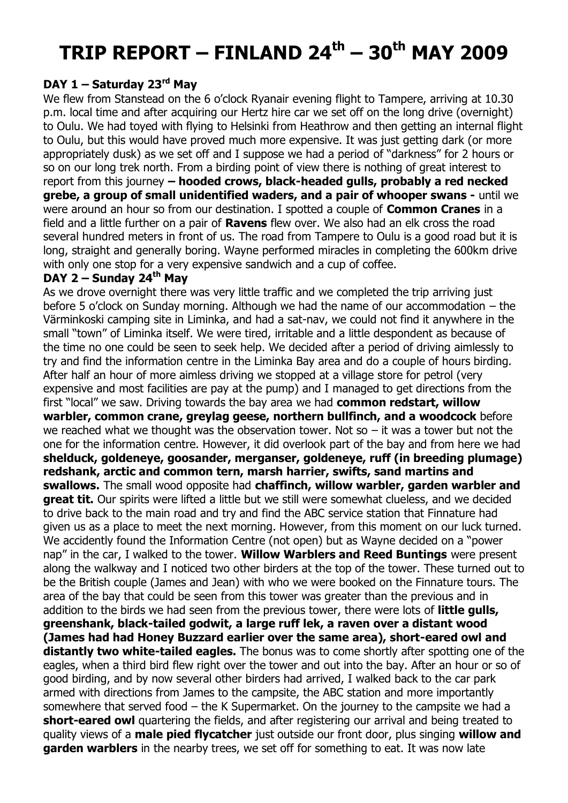# **TRIP REPORT – FINLAND 24th – 30th MAY 2009**

## **DAY 1 – Saturday 23rd May**

We flew from Stanstead on the 6 o'clock Ryanair evening flight to Tampere, arriving at 10.30 p.m. local time and after acquiring our Hertz hire car we set off on the long drive (overnight) to Oulu. We had toyed with flying to Helsinki from Heathrow and then getting an internal flight to Oulu, but this would have proved much more expensive. It was just getting dark (or more appropriately dusk) as we set off and I suppose we had a period of "darkness" for 2 hours or so on our long trek north. From a birding point of view there is nothing of great interest to report from this journey **– hooded crows, black-headed gulls, probably a red necked grebe, a group of small unidentified waders, and a pair of whooper swans -** until we were around an hour so from our destination. I spotted a couple of **Common Cranes** in a field and a little further on a pair of **Ravens** flew over. We also had an elk cross the road several hundred meters in front of us. The road from Tampere to Oulu is a good road but it is long, straight and generally boring. Wayne performed miracles in completing the 600km drive with only one stop for a very expensive sandwich and a cup of coffee.

## **DAY 2 – Sunday 24th May**

As we drove overnight there was very little traffic and we completed the trip arriving just before 5 o'clock on Sunday morning. Although we had the name of our accommodation – the Värminkoski camping site in Liminka, and had a sat-nav, we could not find it anywhere in the small "town" of Liminka itself. We were tired, irritable and a little despondent as because of the time no one could be seen to seek help. We decided after a period of driving aimlessly to try and find the information centre in the Liminka Bay area and do a couple of hours birding. After half an hour of more aimless driving we stopped at a village store for petrol (very expensive and most facilities are pay at the pump) and I managed to get directions from the first "local" we saw. Driving towards the bay area we had **common redstart, willow warbler, common crane, greylag geese, northern bullfinch, and a woodcock** before we reached what we thought was the observation tower. Not so  $-$  it was a tower but not the one for the information centre. However, it did overlook part of the bay and from here we had **shelduck, goldeneye, goosander, merganser, goldeneye, ruff (in breeding plumage) redshank, arctic and common tern, marsh harrier, swifts, sand martins and swallows.** The small wood opposite had **chaffinch, willow warbler, garden warbler and great tit.** Our spirits were lifted a little but we still were somewhat clueless, and we decided to drive back to the main road and try and find the ABC service station that Finnature had given us as a place to meet the next morning. However, from this moment on our luck turned. We accidently found the Information Centre (not open) but as Wayne decided on a "power nap" in the car, I walked to the tower. **Willow Warblers and Reed Buntings** were present along the walkway and I noticed two other birders at the top of the tower. These turned out to be the British couple (James and Jean) with who we were booked on the Finnature tours. The area of the bay that could be seen from this tower was greater than the previous and in addition to the birds we had seen from the previous tower, there were lots of **little gulls, greenshank, black-tailed godwit, a large ruff lek, a raven over a distant wood (James had had Honey Buzzard earlier over the same area), short-eared owl and distantly two white-tailed eagles.** The bonus was to come shortly after spotting one of the eagles, when a third bird flew right over the tower and out into the bay. After an hour or so of good birding, and by now several other birders had arrived, I walked back to the car park armed with directions from James to the campsite, the ABC station and more importantly somewhere that served food – the K Supermarket. On the journey to the campsite we had a **short-eared owl** quartering the fields, and after registering our arrival and being treated to quality views of a **male pied flycatcher** just outside our front door, plus singing **willow and garden warblers** in the nearby trees, we set off for something to eat. It was now late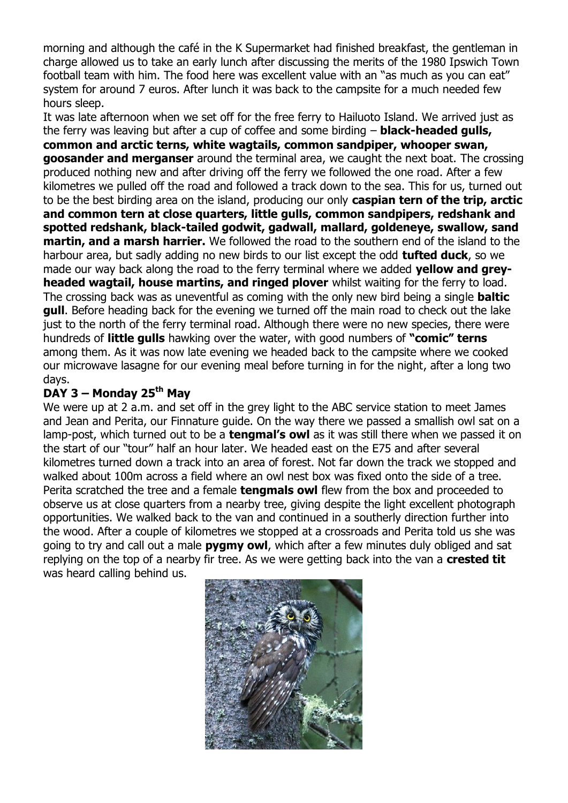morning and although the café in the K Supermarket had finished breakfast, the gentleman in charge allowed us to take an early lunch after discussing the merits of the 1980 Ipswich Town football team with him. The food here was excellent value with an "as much as you can eat" system for around 7 euros. After lunch it was back to the campsite for a much needed few hours sleep.

It was late afternoon when we set off for the free ferry to Hailuoto Island. We arrived just as the ferry was leaving but after a cup of coffee and some birding – **black-headed gulls, common and arctic terns, white wagtails, common sandpiper, whooper swan, goosander and merganser** around the terminal area, we caught the next boat. The crossing produced nothing new and after driving off the ferry we followed the one road. After a few kilometres we pulled off the road and followed a track down to the sea. This for us, turned out to be the best birding area on the island, producing our only **caspian tern of the trip, arctic and common tern at close quarters, little gulls, common sandpipers, redshank and spotted redshank, black-tailed godwit, gadwall, mallard, goldeneye, swallow, sand martin, and a marsh harrier.** We followed the road to the southern end of the island to the harbour area, but sadly adding no new birds to our list except the odd **tufted duck**, so we made our way back along the road to the ferry terminal where we added **yellow and greyheaded wagtail, house martins, and ringed plover** whilst waiting for the ferry to load. The crossing back was as uneventful as coming with the only new bird being a single **baltic gull**. Before heading back for the evening we turned off the main road to check out the lake just to the north of the ferry terminal road. Although there were no new species, there were hundreds of **little gulls** hawking over the water, with good numbers of **"comic" terns** among them. As it was now late evening we headed back to the campsite where we cooked our microwave lasagne for our evening meal before turning in for the night, after a long two days.

## **DAY 3 – Monday 25th May**

We were up at 2 a.m. and set off in the grey light to the ABC service station to meet James and Jean and Perita, our Finnature guide. On the way there we passed a smallish owl sat on a lamp-post, which turned out to be a **tengmal's owl** as it was still there when we passed it on the start of our "tour" half an hour later. We headed east on the E75 and after several kilometres turned down a track into an area of forest. Not far down the track we stopped and walked about 100m across a field where an owl nest box was fixed onto the side of a tree. Perita scratched the tree and a female **tengmals owl** flew from the box and proceeded to observe us at close quarters from a nearby tree, giving despite the light excellent photograph opportunities. We walked back to the van and continued in a southerly direction further into the wood. After a couple of kilometres we stopped at a crossroads and Perita told us she was going to try and call out a male **pygmy owl**, which after a few minutes duly obliged and sat replying on the top of a nearby fir tree. As we were getting back into the van a **crested tit** was heard calling behind us.

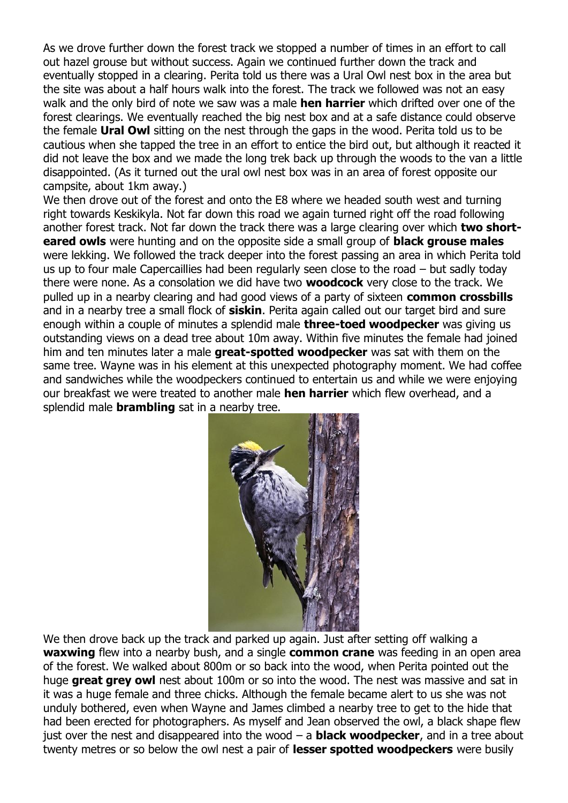As we drove further down the forest track we stopped a number of times in an effort to call out hazel grouse but without success. Again we continued further down the track and eventually stopped in a clearing. Perita told us there was a Ural Owl nest box in the area but the site was about a half hours walk into the forest. The track we followed was not an easy walk and the only bird of note we saw was a male **hen harrier** which drifted over one of the forest clearings. We eventually reached the big nest box and at a safe distance could observe the female **Ural Owl** sitting on the nest through the gaps in the wood. Perita told us to be cautious when she tapped the tree in an effort to entice the bird out, but although it reacted it did not leave the box and we made the long trek back up through the woods to the van a little disappointed. (As it turned out the ural owl nest box was in an area of forest opposite our campsite, about 1km away.)

We then drove out of the forest and onto the E8 where we headed south west and turning right towards Keskikyla. Not far down this road we again turned right off the road following another forest track. Not far down the track there was a large clearing over which **two shorteared owls** were hunting and on the opposite side a small group of **black grouse males** were lekking. We followed the track deeper into the forest passing an area in which Perita told us up to four male Capercaillies had been regularly seen close to the road – but sadly today there were none. As a consolation we did have two **woodcock** very close to the track. We pulled up in a nearby clearing and had good views of a party of sixteen **common crossbills** and in a nearby tree a small flock of **siskin**. Perita again called out our target bird and sure enough within a couple of minutes a splendid male **three-toed woodpecker** was giving us outstanding views on a dead tree about 10m away. Within five minutes the female had joined him and ten minutes later a male **great-spotted woodpecker** was sat with them on the same tree. Wayne was in his element at this unexpected photography moment. We had coffee and sandwiches while the woodpeckers continued to entertain us and while we were enjoying our breakfast we were treated to another male **hen harrier** which flew overhead, and a splendid male **brambling** sat in a nearby tree.



We then drove back up the track and parked up again. Just after setting off walking a **waxwing** flew into a nearby bush, and a single **common crane** was feeding in an open area of the forest. We walked about 800m or so back into the wood, when Perita pointed out the huge **great grey owl** nest about 100m or so into the wood. The nest was massive and sat in it was a huge female and three chicks. Although the female became alert to us she was not unduly bothered, even when Wayne and James climbed a nearby tree to get to the hide that had been erected for photographers. As myself and Jean observed the owl, a black shape flew just over the nest and disappeared into the wood – a **black woodpecker**, and in a tree about twenty metres or so below the owl nest a pair of **lesser spotted woodpeckers** were busily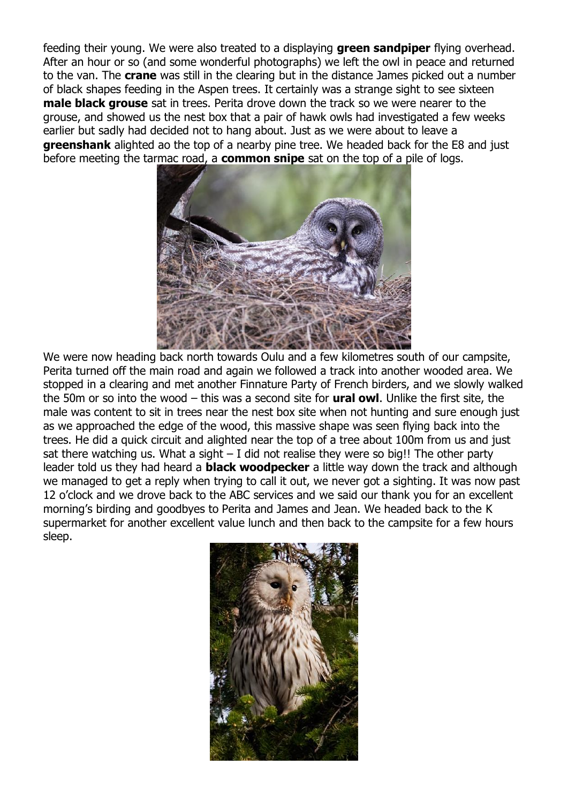feeding their young. We were also treated to a displaying **green sandpiper** flying overhead. After an hour or so (and some wonderful photographs) we left the owl in peace and returned to the van. The **crane** was still in the clearing but in the distance James picked out a number of black shapes feeding in the Aspen trees. It certainly was a strange sight to see sixteen **male black grouse** sat in trees. Perita drove down the track so we were nearer to the grouse, and showed us the nest box that a pair of hawk owls had investigated a few weeks earlier but sadly had decided not to hang about. Just as we were about to leave a **greenshank** alighted ao the top of a nearby pine tree. We headed back for the E8 and just before meeting the tarmac road, a **common snipe** sat on the top of a pile of logs.



We were now heading back north towards Oulu and a few kilometres south of our campsite, Perita turned off the main road and again we followed a track into another wooded area. We stopped in a clearing and met another Finnature Party of French birders, and we slowly walked the 50m or so into the wood – this was a second site for **ural owl**. Unlike the first site, the male was content to sit in trees near the nest box site when not hunting and sure enough just as we approached the edge of the wood, this massive shape was seen flying back into the trees. He did a quick circuit and alighted near the top of a tree about 100m from us and just sat there watching us. What a sight  $-1$  did not realise they were so big!! The other party leader told us they had heard a **black woodpecker** a little way down the track and although we managed to get a reply when trying to call it out, we never got a sighting. It was now past 12 o'clock and we drove back to the ABC services and we said our thank you for an excellent morning's birding and goodbyes to Perita and James and Jean. We headed back to the K supermarket for another excellent value lunch and then back to the campsite for a few hours sleep.

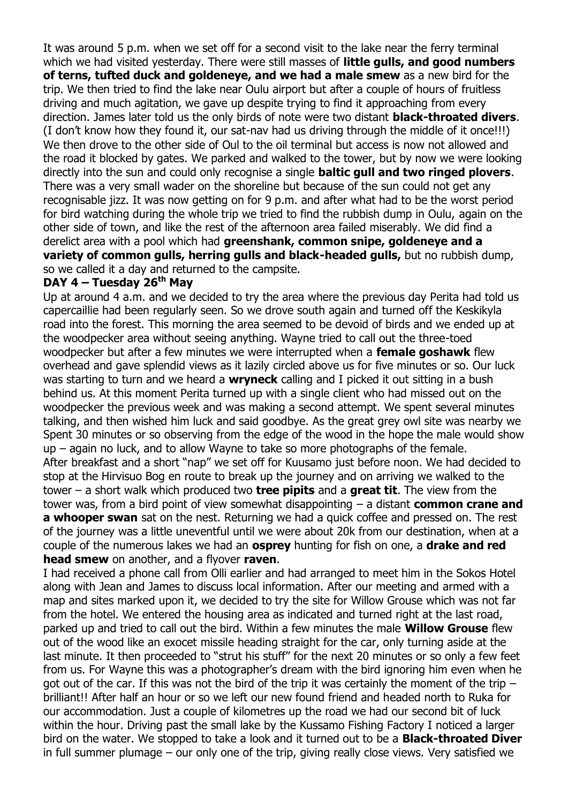It was around 5 p.m. when we set off for a second visit to the lake near the ferry terminal which we had visited yesterday. There were still masses of **little gulls, and good numbers of terns, tufted duck and goldeneye, and we had a male smew** as a new bird for the trip. We then tried to find the lake near Oulu airport but after a couple of hours of fruitless driving and much agitation, we gave up despite trying to find it approaching from every direction. James later told us the only birds of note were two distant **black-throated divers**. (I don't know how they found it, our sat-nav had us driving through the middle of it once!!!) We then drove to the other side of Oul to the oil terminal but access is now not allowed and the road it blocked by gates. We parked and walked to the tower, but by now we were looking directly into the sun and could only recognise a single **baltic gull and two ringed plovers**. There was a very small wader on the shoreline but because of the sun could not get any recognisable jizz. It was now getting on for 9 p.m. and after what had to be the worst period for bird watching during the whole trip we tried to find the rubbish dump in Oulu, again on the other side of town, and like the rest of the afternoon area failed miserably. We did find a derelict area with a pool which had **greenshank, common snipe, goldeneye and a variety of common gulls, herring gulls and black-headed gulls,** but no rubbish dump, so we called it a day and returned to the campsite.

#### **DAY 4 – Tuesday 26th May**

Up at around 4 a.m. and we decided to try the area where the previous day Perita had told us capercaillie had been regularly seen. So we drove south again and turned off the Keskikyla road into the forest. This morning the area seemed to be devoid of birds and we ended up at the woodpecker area without seeing anything. Wayne tried to call out the three-toed woodpecker but after a few minutes we were interrupted when a **female goshawk** flew overhead and gave splendid views as it lazily circled above us for five minutes or so. Our luck was starting to turn and we heard a **wryneck** calling and I picked it out sitting in a bush behind us. At this moment Perita turned up with a single client who had missed out on the woodpecker the previous week and was making a second attempt. We spent several minutes talking, and then wished him luck and said goodbye. As the great grey owl site was nearby we Spent 30 minutes or so observing from the edge of the wood in the hope the male would show up – again no luck, and to allow Wayne to take so more photographs of the female. After breakfast and a short "nap" we set off for Kuusamo just before noon. We had decided to stop at the Hirvisuo Bog en route to break up the journey and on arriving we walked to the tower – a short walk which produced two **tree pipits** and a **great tit**. The view from the tower was, from a bird point of view somewhat disappointing – a distant **common crane and a whooper swan** sat on the nest. Returning we had a quick coffee and pressed on. The rest of the journey was a little uneventful until we were about 20k from our destination, when at a couple of the numerous lakes we had an **osprey** hunting for fish on one, a **drake and red head smew** on another, and a flyover **raven**.

I had received a phone call from Olli earlier and had arranged to meet him in the Sokos Hotel along with Jean and James to discuss local information. After our meeting and armed with a map and sites marked upon it, we decided to try the site for Willow Grouse which was not far from the hotel. We entered the housing area as indicated and turned right at the last road, parked up and tried to call out the bird. Within a few minutes the male **Willow Grouse** flew out of the wood like an exocet missile heading straight for the car, only turning aside at the last minute. It then proceeded to "strut his stuff" for the next 20 minutes or so only a few feet from us. For Wayne this was a photographer's dream with the bird ignoring him even when he got out of the car. If this was not the bird of the trip it was certainly the moment of the trip – brilliant!! After half an hour or so we left our new found friend and headed north to Ruka for our accommodation. Just a couple of kilometres up the road we had our second bit of luck within the hour. Driving past the small lake by the Kussamo Fishing Factory I noticed a larger bird on the water. We stopped to take a look and it turned out to be a **Black-throated Diver** in full summer plumage – our only one of the trip, giving really close views. Very satisfied we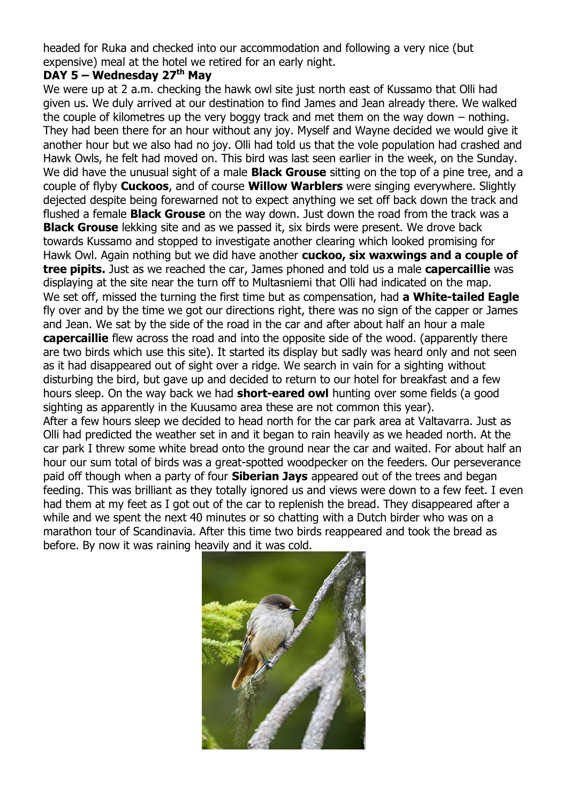headed for Ruka and checked into our accommodation and following a very nice (but expensive) meal at the hotel we retired for an early night.

# **DAY 5 – Wednesday 27th May**

We were up at 2 a.m. checking the hawk owl site just north east of Kussamo that Olli had given us. We duly arrived at our destination to find James and Jean already there. We walked the couple of kilometres up the very boggy track and met them on the way down – nothing. They had been there for an hour without any joy. Myself and Wayne decided we would give it another hour but we also had no joy. Olli had told us that the vole population had crashed and Hawk Owls, he felt had moved on. This bird was last seen earlier in the week, on the Sunday. We did have the unusual sight of a male **Black Grouse** sitting on the top of a pine tree, and a couple of flyby **Cuckoos**, and of course **Willow Warblers** were singing everywhere. Slightly dejected despite being forewarned not to expect anything we set off back down the track and flushed a female **Black Grouse** on the way down. Just down the road from the track was a **Black Grouse** lekking site and as we passed it, six birds were present. We drove back towards Kussamo and stopped to investigate another clearing which looked promising for Hawk Owl. Again nothing but we did have another **cuckoo, six waxwings and a couple of tree pipits.** Just as we reached the car, James phoned and told us a male **capercaillie** was displaying at the site near the turn off to Multasniemi that Olli had indicated on the map. We set off, missed the turning the first time but as compensation, had **a White-tailed Eagle**  fly over and by the time we got our directions right, there was no sign of the capper or James and Jean. We sat by the side of the road in the car and after about half an hour a male **capercaillie** flew across the road and into the opposite side of the wood. (apparently there are two birds which use this site). It started its display but sadly was heard only and not seen as it had disappeared out of sight over a ridge. We search in vain for a sighting without disturbing the bird, but gave up and decided to return to our hotel for breakfast and a few hours sleep. On the way back we had **short-eared owl** hunting over some fields (a good sighting as apparently in the Kuusamo area these are not common this year). After a few hours sleep we decided to head north for the car park area at Valtavarra. Just as Olli had predicted the weather set in and it began to rain heavily as we headed north. At the car park I threw some white bread onto the ground near the car and waited. For about half an hour our sum total of birds was a great-spotted woodpecker on the feeders. Our perseverance paid off though when a party of four **Siberian Jays** appeared out of the trees and began feeding. This was brilliant as they totally ignored us and views were down to a few feet. I even had them at my feet as I got out of the car to replenish the bread. They disappeared after a while and we spent the next 40 minutes or so chatting with a Dutch birder who was on a

marathon tour of Scandinavia. After this time two birds reappeared and took the bread as before. By now it was raining heavily and it was cold.

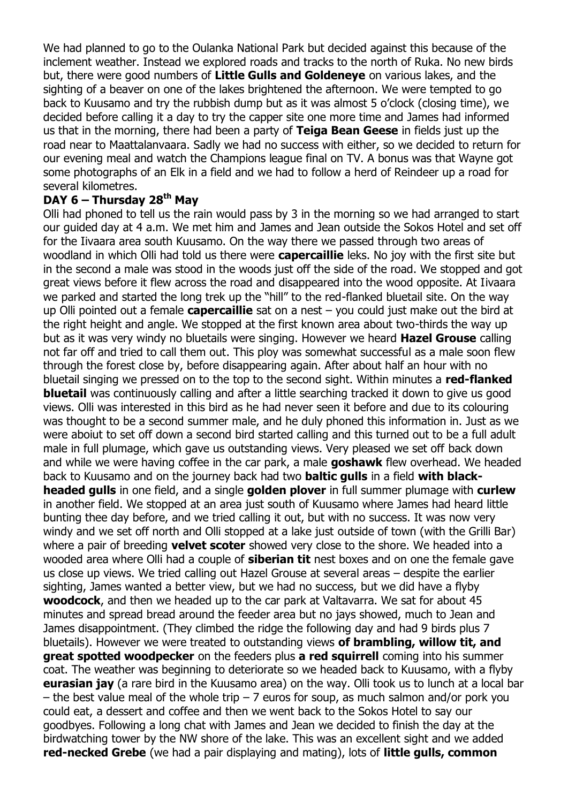We had planned to go to the Oulanka National Park but decided against this because of the inclement weather. Instead we explored roads and tracks to the north of Ruka. No new birds but, there were good numbers of **Little Gulls and Goldeneye** on various lakes, and the sighting of a beaver on one of the lakes brightened the afternoon. We were tempted to go back to Kuusamo and try the rubbish dump but as it was almost 5 o'clock (closing time), we decided before calling it a day to try the capper site one more time and James had informed us that in the morning, there had been a party of **Teiga Bean Geese** in fields just up the road near to Maattalanvaara. Sadly we had no success with either, so we decided to return for our evening meal and watch the Champions league final on TV. A bonus was that Wayne got some photographs of an Elk in a field and we had to follow a herd of Reindeer up a road for several kilometres.

## **DAY 6 – Thursday 28th May**

Olli had phoned to tell us the rain would pass by 3 in the morning so we had arranged to start our guided day at 4 a.m. We met him and James and Jean outside the Sokos Hotel and set off for the Iivaara area south Kuusamo. On the way there we passed through two areas of woodland in which Olli had told us there were **capercaillie** leks. No joy with the first site but in the second a male was stood in the woods just off the side of the road. We stopped and got great views before it flew across the road and disappeared into the wood opposite. At Iivaara we parked and started the long trek up the "hill" to the red-flanked bluetail site. On the way up Olli pointed out a female **capercaillie** sat on a nest – you could just make out the bird at the right height and angle. We stopped at the first known area about two-thirds the way up but as it was very windy no bluetails were singing. However we heard **Hazel Grouse** calling not far off and tried to call them out. This ploy was somewhat successful as a male soon flew through the forest close by, before disappearing again. After about half an hour with no bluetail singing we pressed on to the top to the second sight. Within minutes a **red-flanked bluetail** was continuously calling and after a little searching tracked it down to give us good views. Olli was interested in this bird as he had never seen it before and due to its colouring was thought to be a second summer male, and he duly phoned this information in. Just as we were aboiut to set off down a second bird started calling and this turned out to be a full adult male in full plumage, which gave us outstanding views. Very pleased we set off back down and while we were having coffee in the car park, a male **goshawk** flew overhead. We headed back to Kuusamo and on the journey back had two **baltic gulls** in a field **with blackheaded gulls** in one field, and a single **golden plover** in full summer plumage with **curlew** in another field. We stopped at an area just south of Kuusamo where James had heard little bunting thee day before, and we tried calling it out, but with no success. It was now very windy and we set off north and Olli stopped at a lake just outside of town (with the Grilli Bar) where a pair of breeding **velvet scoter** showed very close to the shore. We headed into a wooded area where Olli had a couple of **siberian tit** nest boxes and on one the female gave us close up views. We tried calling out Hazel Grouse at several areas – despite the earlier sighting, James wanted a better view, but we had no success, but we did have a flyby **woodcock**, and then we headed up to the car park at Valtavarra. We sat for about 45 minutes and spread bread around the feeder area but no jays showed, much to Jean and James disappointment. (They climbed the ridge the following day and had 9 birds plus 7 bluetails). However we were treated to outstanding views **of brambling, willow tit, and great spotted woodpecker** on the feeders plus **a red squirrell** coming into his summer coat. The weather was beginning to deteriorate so we headed back to Kuusamo, with a flyby **eurasian jay** (a rare bird in the Kuusamo area) on the way. Olli took us to lunch at a local bar – the best value meal of the whole trip – 7 euros for soup, as much salmon and/or pork you could eat, a dessert and coffee and then we went back to the Sokos Hotel to say our goodbyes. Following a long chat with James and Jean we decided to finish the day at the birdwatching tower by the NW shore of the lake. This was an excellent sight and we added **red-necked Grebe** (we had a pair displaying and mating), lots of **little gulls, common**